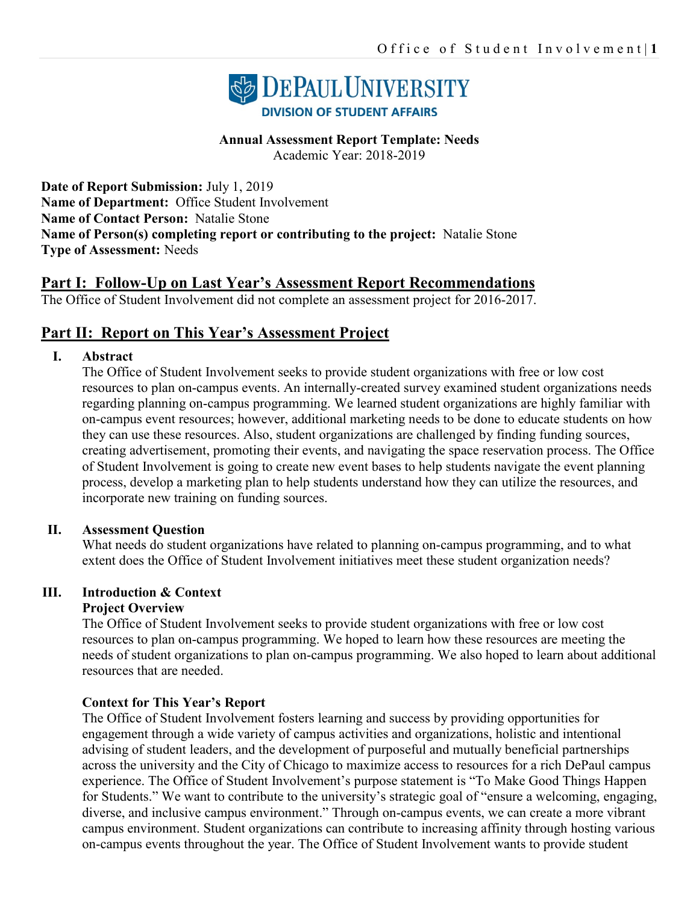

#### **Annual Assessment Report Template: Needs**

Academic Year: 2018-2019

**Date of Report Submission:** July 1, 2019 **Name of Department:** Office Student Involvement **Name of Contact Person:** Natalie Stone **Name of Person(s) completing report or contributing to the project:** Natalie Stone **Type of Assessment:** Needs

# **Part I: Follow-Up on Last Year's Assessment Report Recommendations**

The Office of Student Involvement did not complete an assessment project for 2016-2017.

# **Part II: Report on This Year's Assessment Project**

#### **I. Abstract**

The Office of Student Involvement seeks to provide student organizations with free or low cost resources to plan on-campus events. An internally-created survey examined student organizations needs regarding planning on-campus programming. We learned student organizations are highly familiar with on-campus event resources; however, additional marketing needs to be done to educate students on how they can use these resources. Also, student organizations are challenged by finding funding sources, creating advertisement, promoting their events, and navigating the space reservation process. The Office of Student Involvement is going to create new event bases to help students navigate the event planning process, develop a marketing plan to help students understand how they can utilize the resources, and incorporate new training on funding sources.

#### **II. Assessment Question**

What needs do student organizations have related to planning on-campus programming, and to what extent does the Office of Student Involvement initiatives meet these student organization needs?

#### **III. Introduction & Context Project Overview**

The Office of Student Involvement seeks to provide student organizations with free or low cost resources to plan on-campus programming. We hoped to learn how these resources are meeting the needs of student organizations to plan on-campus programming. We also hoped to learn about additional resources that are needed.

#### **Context for This Year's Report**

The Office of Student Involvement fosters learning and success by providing opportunities for engagement through a wide variety of campus activities and organizations, holistic and intentional advising of student leaders, and the development of purposeful and mutually beneficial partnerships across the university and the City of Chicago to maximize access to resources for a rich DePaul campus experience. The Office of Student Involvement's purpose statement is "To Make Good Things Happen for Students." We want to contribute to the university's strategic goal of "ensure a welcoming, engaging, diverse, and inclusive campus environment." Through on-campus events, we can create a more vibrant campus environment. Student organizations can contribute to increasing affinity through hosting various on-campus events throughout the year. The Office of Student Involvement wants to provide student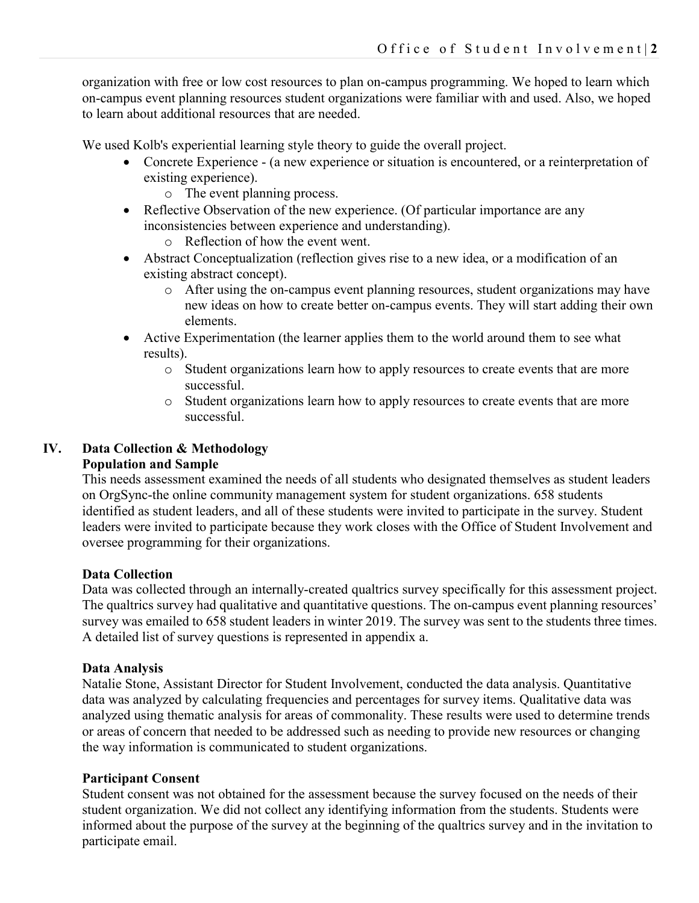organization with free or low cost resources to plan on-campus programming. We hoped to learn which on-campus event planning resources student organizations were familiar with and used. Also, we hoped to learn about additional resources that are needed.

We used Kolb's experiential learning style theory to guide the overall project.

- Concrete Experience (a new experience or situation is encountered, or a reinterpretation of existing experience).
	- o The event planning process.
- Reflective Observation of the new experience. (Of particular importance are any inconsistencies between experience and understanding).
	- o Reflection of how the event went.
- Abstract Conceptualization (reflection gives rise to a new idea, or a modification of an existing abstract concept).
	- o After using the on-campus event planning resources, student organizations may have new ideas on how to create better on-campus events. They will start adding their own elements.
- Active Experimentation (the learner applies them to the world around them to see what results).
	- o Student organizations learn how to apply resources to create events that are more successful.
	- o Student organizations learn how to apply resources to create events that are more successful.

## **IV. Data Collection & Methodology**

## **Population and Sample**

This needs assessment examined the needs of all students who designated themselves as student leaders on OrgSync-the online community management system for student organizations. 658 students identified as student leaders, and all of these students were invited to participate in the survey. Student leaders were invited to participate because they work closes with the Office of Student Involvement and oversee programming for their organizations.

## **Data Collection**

Data was collected through an internally-created qualtrics survey specifically for this assessment project. The qualtrics survey had qualitative and quantitative questions. The on-campus event planning resources' survey was emailed to 658 student leaders in winter 2019. The survey was sent to the students three times. A detailed list of survey questions is represented in appendix a.

#### **Data Analysis**

Natalie Stone, Assistant Director for Student Involvement, conducted the data analysis. Quantitative data was analyzed by calculating frequencies and percentages for survey items. Qualitative data was analyzed using thematic analysis for areas of commonality. These results were used to determine trends or areas of concern that needed to be addressed such as needing to provide new resources or changing the way information is communicated to student organizations.

#### **Participant Consent**

Student consent was not obtained for the assessment because the survey focused on the needs of their student organization. We did not collect any identifying information from the students. Students were informed about the purpose of the survey at the beginning of the qualtrics survey and in the invitation to participate email.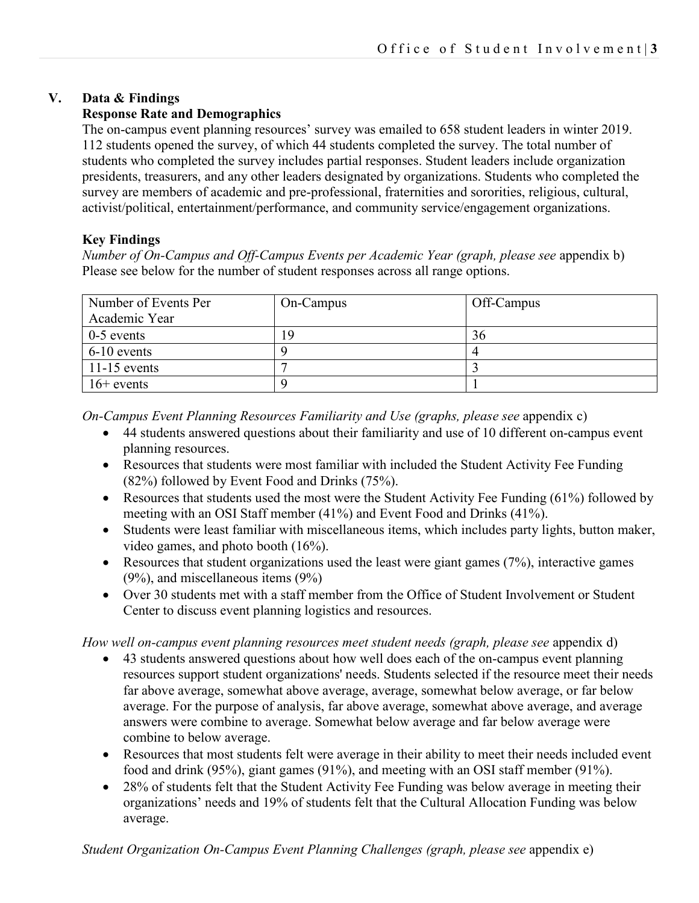## **V. Data & Findings**

## **Response Rate and Demographics**

The on-campus event planning resources' survey was emailed to 658 student leaders in winter 2019. 112 students opened the survey, of which 44 students completed the survey. The total number of students who completed the survey includes partial responses. Student leaders include organization presidents, treasurers, and any other leaders designated by organizations. Students who completed the survey are members of academic and pre-professional, fraternities and sororities, religious, cultural, activist/political, entertainment/performance, and community service/engagement organizations.

## **Key Findings**

*Number of On-Campus and Off-Campus Events per Academic Year (graph, please see* appendix b) Please see below for the number of student responses across all range options.

| Number of Events Per | On-Campus | Off-Campus |
|----------------------|-----------|------------|
| Academic Year        |           |            |
| $0-5$ events         | 19        | 36         |
| $6-10$ events        |           |            |
| $11-15$ events       |           |            |
| $16+$ events         |           |            |

*On-Campus Event Planning Resources Familiarity and Use (graphs, please see* appendix c)

- 44 students answered questions about their familiarity and use of 10 different on-campus event planning resources.
- Resources that students were most familiar with included the Student Activity Fee Funding (82%) followed by Event Food and Drinks (75%).
- Resources that students used the most were the Student Activity Fee Funding (61%) followed by meeting with an OSI Staff member (41%) and Event Food and Drinks (41%).
- Students were least familiar with miscellaneous items, which includes party lights, button maker, video games, and photo booth (16%).
- Resources that student organizations used the least were giant games  $(7%)$ , interactive games (9%), and miscellaneous items (9%)
- Over 30 students met with a staff member from the Office of Student Involvement or Student Center to discuss event planning logistics and resources.

## *How well on-campus event planning resources meet student needs (graph, please see* appendix d)

- 43 students answered questions about how well does each of the on-campus event planning resources support student organizations' needs. Students selected if the resource meet their needs far above average, somewhat above average, average, somewhat below average, or far below average. For the purpose of analysis, far above average, somewhat above average, and average answers were combine to average. Somewhat below average and far below average were combine to below average.
- Resources that most students felt were average in their ability to meet their needs included event food and drink (95%), giant games (91%), and meeting with an OSI staff member (91%).
- 28% of students felt that the Student Activity Fee Funding was below average in meeting their organizations' needs and 19% of students felt that the Cultural Allocation Funding was below average.

*Student Organization On-Campus Event Planning Challenges (graph, please see* appendix e)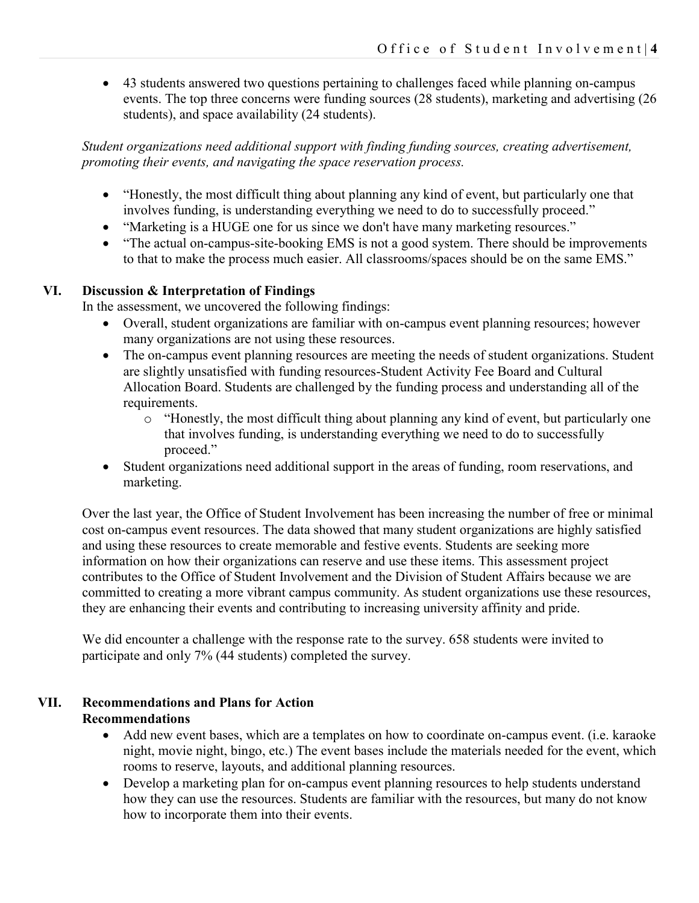• 43 students answered two questions pertaining to challenges faced while planning on-campus events. The top three concerns were funding sources (28 students), marketing and advertising (26 students), and space availability (24 students).

*Student organizations need additional support with finding funding sources, creating advertisement, promoting their events, and navigating the space reservation process.* 

- "Honestly, the most difficult thing about planning any kind of event, but particularly one that involves funding, is understanding everything we need to do to successfully proceed."
- "Marketing is a HUGE one for us since we don't have many marketing resources."
- "The actual on-campus-site-booking EMS is not a good system. There should be improvements to that to make the process much easier. All classrooms/spaces should be on the same EMS."

## **VI. Discussion & Interpretation of Findings**

In the assessment, we uncovered the following findings:

- Overall, student organizations are familiar with on-campus event planning resources; however many organizations are not using these resources.
- The on-campus event planning resources are meeting the needs of student organizations. Student are slightly unsatisfied with funding resources-Student Activity Fee Board and Cultural Allocation Board. Students are challenged by the funding process and understanding all of the requirements.
	- o "Honestly, the most difficult thing about planning any kind of event, but particularly one that involves funding, is understanding everything we need to do to successfully proceed."
- Student organizations need additional support in the areas of funding, room reservations, and marketing.

Over the last year, the Office of Student Involvement has been increasing the number of free or minimal cost on-campus event resources. The data showed that many student organizations are highly satisfied and using these resources to create memorable and festive events. Students are seeking more information on how their organizations can reserve and use these items. This assessment project contributes to the Office of Student Involvement and the Division of Student Affairs because we are committed to creating a more vibrant campus community. As student organizations use these resources, they are enhancing their events and contributing to increasing university affinity and pride.

We did encounter a challenge with the response rate to the survey. 658 students were invited to participate and only 7% (44 students) completed the survey.

# **VII. Recommendations and Plans for Action Recommendations**

- Add new event bases, which are a templates on how to coordinate on-campus event. (i.e. karaoke night, movie night, bingo, etc.) The event bases include the materials needed for the event, which rooms to reserve, layouts, and additional planning resources.
- Develop a marketing plan for on-campus event planning resources to help students understand how they can use the resources. Students are familiar with the resources, but many do not know how to incorporate them into their events.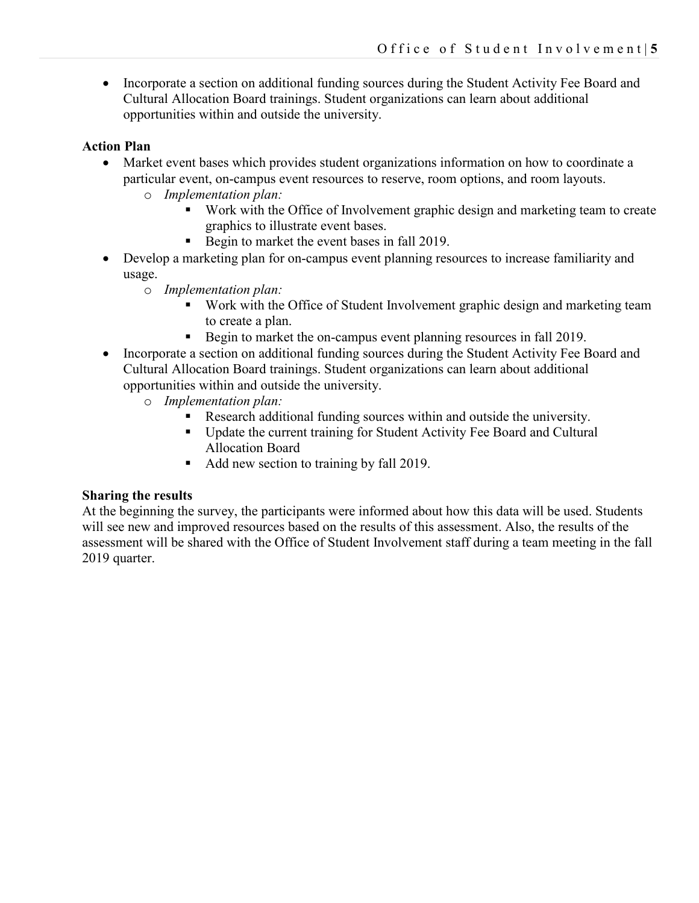• Incorporate a section on additional funding sources during the Student Activity Fee Board and Cultural Allocation Board trainings. Student organizations can learn about additional opportunities within and outside the university.

### **Action Plan**

- Market event bases which provides student organizations information on how to coordinate a particular event, on-campus event resources to reserve, room options, and room layouts.
	- o *Implementation plan:*
		- Work with the Office of Involvement graphic design and marketing team to create graphics to illustrate event bases.
		- Begin to market the event bases in fall 2019.
- Develop a marketing plan for on-campus event planning resources to increase familiarity and usage.
	- o *Implementation plan:*
		- Work with the Office of Student Involvement graphic design and marketing team to create a plan.
		- Begin to market the on-campus event planning resources in fall 2019.
- Incorporate a section on additional funding sources during the Student Activity Fee Board and Cultural Allocation Board trainings. Student organizations can learn about additional opportunities within and outside the university.
	- o *Implementation plan:*
		- Research additional funding sources within and outside the university.
		- Update the current training for Student Activity Fee Board and Cultural Allocation Board
		- Add new section to training by fall 2019.

## **Sharing the results**

At the beginning the survey, the participants were informed about how this data will be used. Students will see new and improved resources based on the results of this assessment. Also, the results of the assessment will be shared with the Office of Student Involvement staff during a team meeting in the fall 2019 quarter.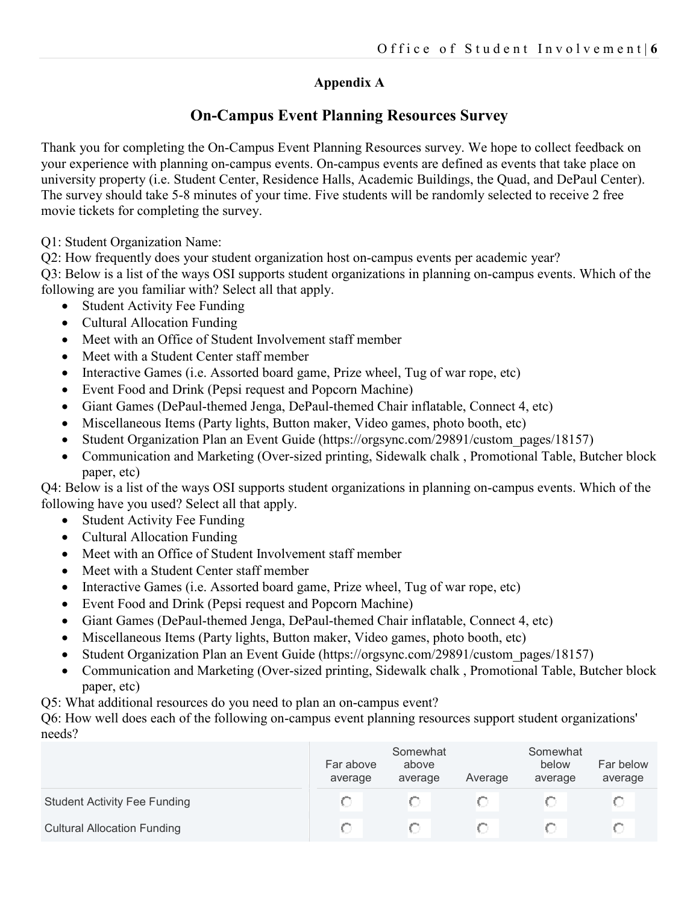# **Appendix A**

# **On-Campus Event Planning Resources Survey**

Thank you for completing the On-Campus Event Planning Resources survey. We hope to collect feedback on your experience with planning on-campus events. On-campus events are defined as events that take place on university property (i.e. Student Center, Residence Halls, Academic Buildings, the Quad, and DePaul Center). The survey should take 5-8 minutes of your time. Five students will be randomly selected to receive 2 free movie tickets for completing the survey.

Q1: Student Organization Name:

Q2: How frequently does your student organization host on-campus events per academic year?

Q3: Below is a list of the ways OSI supports student organizations in planning on-campus events. Which of the following are you familiar with? Select all that apply.

- Student Activity Fee Funding
- Cultural Allocation Funding
- Meet with an Office of Student Involvement staff member
- Meet with a Student Center staff member
- Interactive Games (i.e. Assorted board game, Prize wheel, Tug of war rope, etc)
- Event Food and Drink (Pepsi request and Popcorn Machine)
- Giant Games (DePaul-themed Jenga, DePaul-themed Chair inflatable, Connect 4, etc)
- Miscellaneous Items (Party lights, Button maker, Video games, photo booth, etc)
- Student Organization Plan an Event Guide (https://orgsync.com/29891/custom\_pages/18157)
- Communication and Marketing (Over-sized printing, Sidewalk chalk , Promotional Table, Butcher block paper, etc)

Q4: Below is a list of the ways OSI supports student organizations in planning on-campus events. Which of the following have you used? Select all that apply.

- Student Activity Fee Funding
- Cultural Allocation Funding
- Meet with an Office of Student Involvement staff member
- Meet with a Student Center staff member
- Interactive Games (i.e. Assorted board game, Prize wheel, Tug of war rope, etc)
- Event Food and Drink (Pepsi request and Popcorn Machine)
- Giant Games (DePaul-themed Jenga, DePaul-themed Chair inflatable, Connect 4, etc)
- Miscellaneous Items (Party lights, Button maker, Video games, photo booth, etc)
- Student Organization Plan an Event Guide (https://orgsync.com/29891/custom\_pages/18157)
- Communication and Marketing (Over-sized printing, Sidewalk chalk , Promotional Table, Butcher block paper, etc)
- Q5: What additional resources do you need to plan an on-campus event?

Q6: How well does each of the following on-campus event planning resources support student organizations' needs?

|                                     | Far above<br>average | Somewhat<br>above<br>average | Average | Somewhat<br>below<br>average | Far below<br>average |
|-------------------------------------|----------------------|------------------------------|---------|------------------------------|----------------------|
| <b>Student Activity Fee Funding</b> |                      |                              |         |                              |                      |
| <b>Cultural Allocation Funding</b>  |                      |                              |         |                              |                      |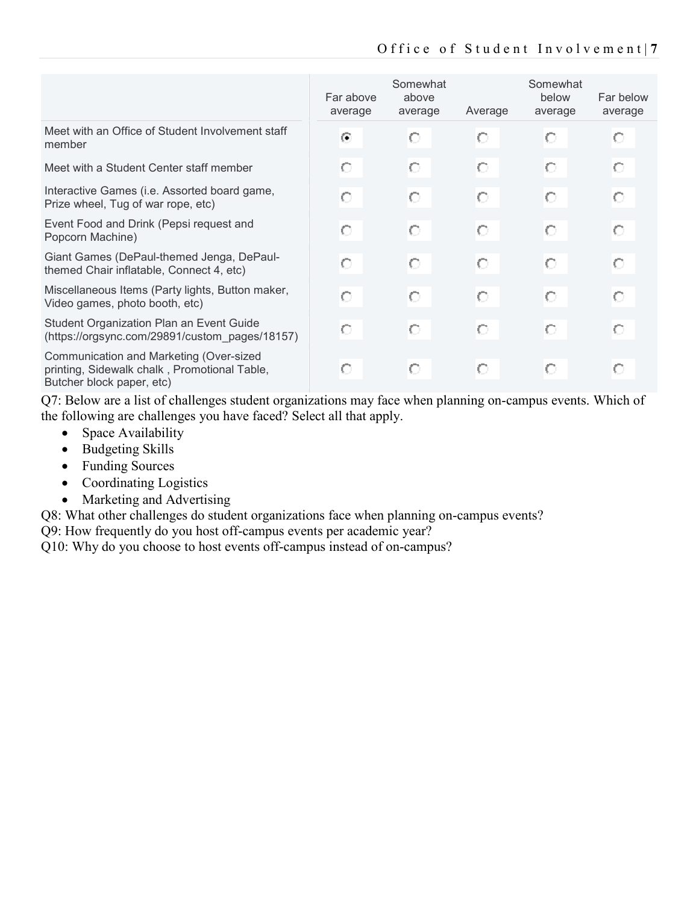|                                                                                                                      | Far above<br>average | Somewhat<br>above<br>average | Average | Somewhat<br>below<br>average | Far below<br>average |
|----------------------------------------------------------------------------------------------------------------------|----------------------|------------------------------|---------|------------------------------|----------------------|
| Meet with an Office of Student Involvement staff<br>member                                                           | ⋒                    | О                            | О       | О                            | О                    |
| Meet with a Student Center staff member                                                                              | О                    | О                            | О       | О                            | О                    |
| Interactive Games (i.e. Assorted board game,<br>Prize wheel, Tug of war rope, etc)                                   | О                    | О                            | O       | О                            | О                    |
| Event Food and Drink (Pepsi request and<br>Popcorn Machine)                                                          | О                    | О                            | О       | О                            | О                    |
| Giant Games (DePaul-themed Jenga, DePaul-<br>themed Chair inflatable, Connect 4, etc)                                | О                    | О                            | О       | О                            | О                    |
| Miscellaneous Items (Party lights, Button maker,<br>Video games, photo booth, etc)                                   | О                    | О                            | О       | О                            | О                    |
| Student Organization Plan an Event Guide<br>(https://orgsync.com/29891/custom_pages/18157)                           | О                    | О                            | Ō       | О                            | О                    |
| Communication and Marketing (Over-sized<br>printing, Sidewalk chalk, Promotional Table,<br>Butcher block paper, etc) | О                    | О                            | О       | О                            | О                    |

Q7: Below are a list of challenges student organizations may face when planning on-campus events. Which of the following are challenges you have faced? Select all that apply.

- Space Availability
- Budgeting Skills
- Funding Sources
- Coordinating Logistics
- Marketing and Advertising

Q8: What other challenges do student organizations face when planning on-campus events?

Q9: How frequently do you host off-campus events per academic year?

Q10: Why do you choose to host events off-campus instead of on-campus?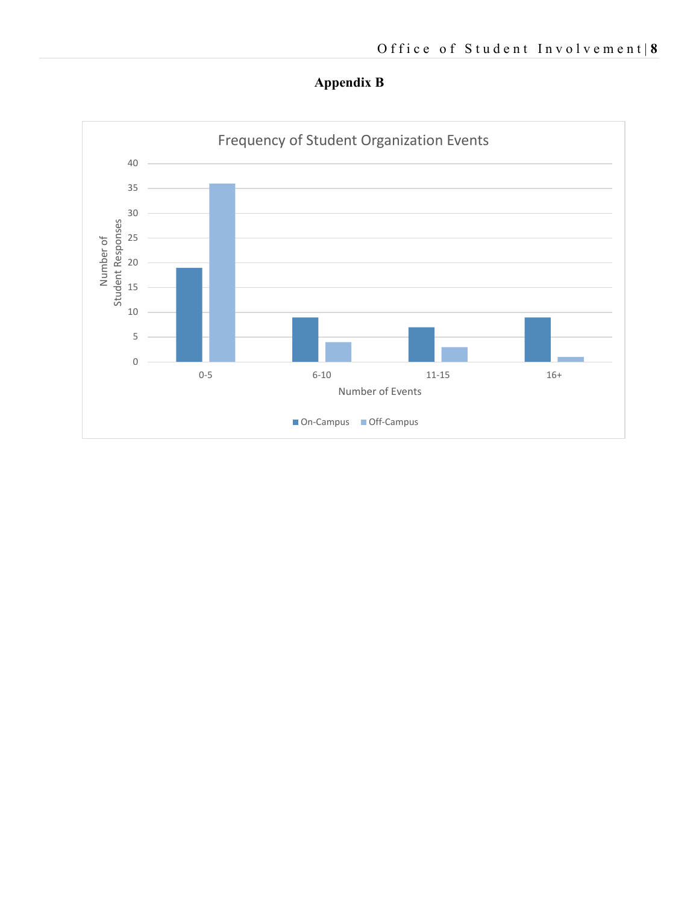

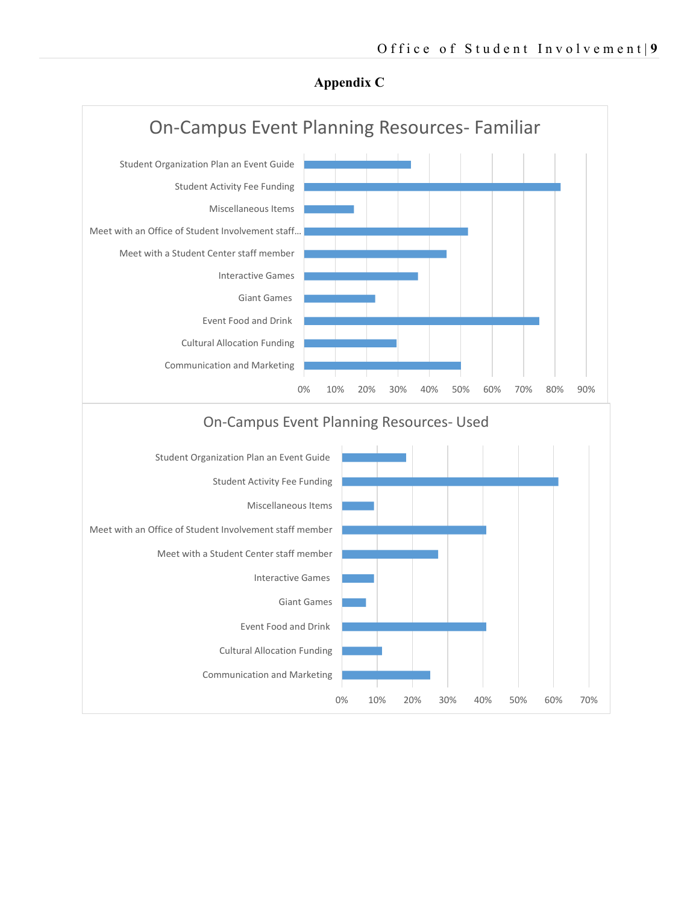

### **Appendix C**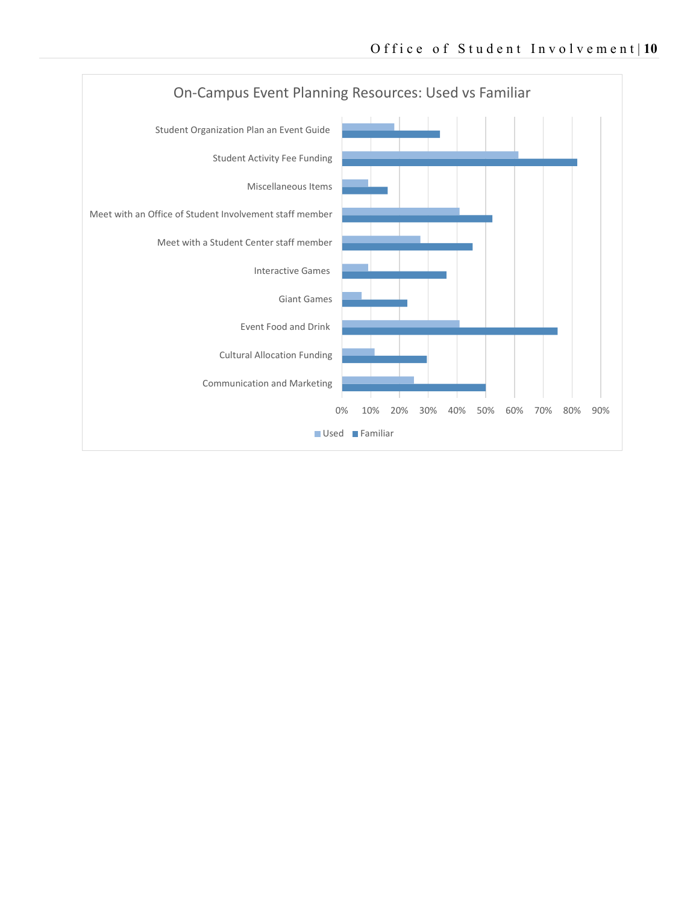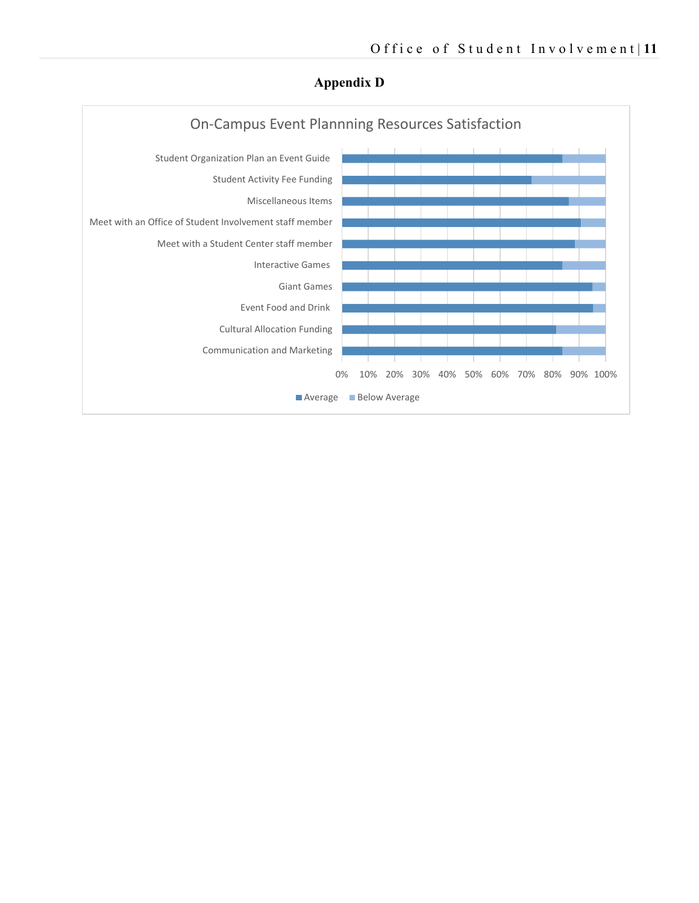

### **Appendix D**